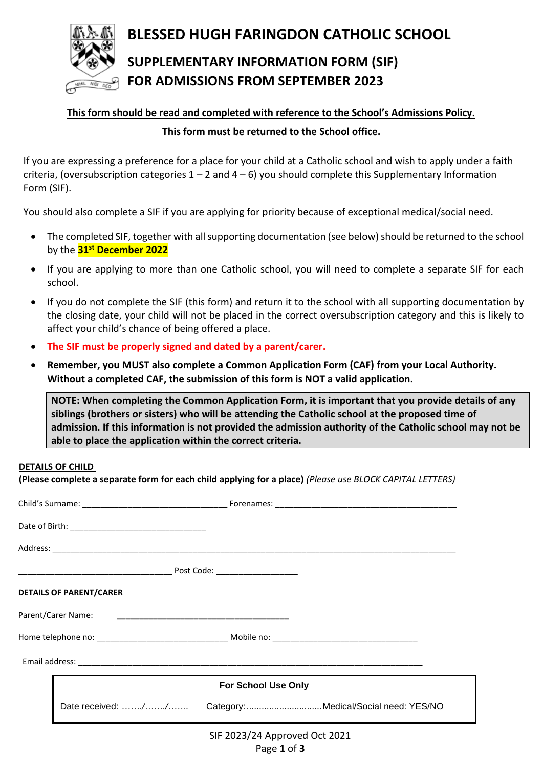

# **BLESSED HUGH FARINGDON CATHOLIC SCHOOL SUPPLEMENTARY INFORMATION FORM (SIF)**

# **FOR ADMISSIONS FROM SEPTEMBER 2023**

## **This form should be read and completed with reference to the School's Admissions Policy. This form must be returned to the School office.**

If you are expressing a preference for a place for your child at a Catholic school and wish to apply under a faith criteria, (oversubscription categories  $1 - 2$  and  $4 - 6$ ) you should complete this Supplementary Information Form (SIF).

You should also complete a SIF if you are applying for priority because of exceptional medical/social need.

- The completed SIF, together with all supporting documentation (see below) should be returned to the school by the **31st December 2022**
- If you are applying to more than one Catholic school, you will need to complete a separate SIF for each school.
- If you do not complete the SIF (this form) and return it to the school with all supporting documentation by the closing date, your child will not be placed in the correct oversubscription category and this is likely to affect your child's chance of being offered a place.
- **The SIF must be properly signed and dated by a parent/carer.**
- **Remember, you MUST also complete a Common Application Form (CAF) from your Local Authority. Without a completed CAF, the submission of this form is NOT a valid application.**

**NOTE: When completing the Common Application Form, it is important that you provide details of any siblings (brothers or sisters) who will be attending the Catholic school at the proposed time of admission. If this information is not provided the admission authority of the Catholic school may not be able to place the application within the correct criteria.**

#### **DETAILS OF CHILD**

**(Please complete a separate form for each child applying for a place)** *(Please use BLOCK CAPITAL LETTERS)* 

|  | <b>DETAILS OF PARENT/CARER</b> |                                                         |  |
|--|--------------------------------|---------------------------------------------------------|--|
|  | Parent/Carer Name:             |                                                         |  |
|  |                                |                                                         |  |
|  |                                |                                                         |  |
|  | <b>For School Use Only</b>     |                                                         |  |
|  |                                | Date received: // Category: Medical/Social need: YES/NO |  |
|  |                                | SIF 2023/24 Approved Oct 2021                           |  |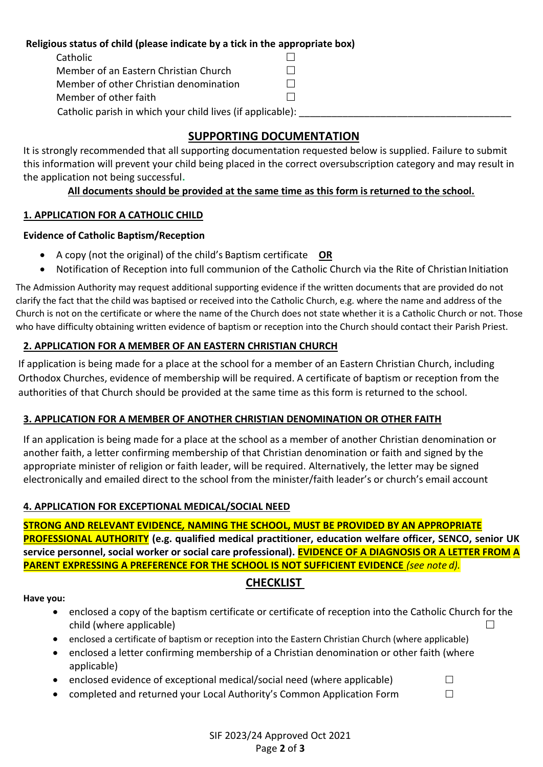#### **Religious status of child (please indicate by a tick in the appropriate box)**

| Catholic                                                   |         |
|------------------------------------------------------------|---------|
| Member of an Eastern Christian Church                      | $\Box$  |
| Member of other Christian denomination                     | $\Box$  |
| Member of other faith                                      | $\perp$ |
| Catholic parish in which your child lives (if applicable): |         |

## **SUPPORTING DOCUMENTATION**

It is strongly recommended that all supporting documentation requested below is supplied. Failure to submit this information will prevent your child being placed in the correct oversubscription category and may result in the application not being successful**.**

## **All documents should be provided at the same time as this form is returned to the school.**

## **1. APPLICATION FOR A CATHOLIC CHILD**

#### **Evidence of Catholic Baptism/Reception**

- A copy (not the original) of the child's Baptism certificate **OR**
- Notification of Reception into full communion of the Catholic Church via the Rite of Christian Initiation

The Admission Authority may request additional supporting evidence if the written documents that are provided do not clarify the fact that the child was baptised or received into the Catholic Church, e.g. where the name and address of the Church is not on the certificate or where the name of the Church does not state whether it is a Catholic Church or not. Those who have difficulty obtaining written evidence of baptism or reception into the Church should contact their Parish Priest.

## **2. APPLICATION FOR A MEMBER OF AN EASTERN CHRISTIAN CHURCH**

If application is being made for a place at the school for a member of an Eastern Christian Church, including Orthodox Churches, evidence of membership will be required. A certificate of baptism or reception from the authorities of that Church should be provided at the same time as this form is returned to the school.

## **3. APPLICATION FOR A MEMBER OF ANOTHER CHRISTIAN DENOMINATION OR OTHER FAITH**

If an application is being made for a place at the school as a member of another Christian denomination or another faith, a letter confirming membership of that Christian denomination or faith and signed by the appropriate minister of religion or faith leader, will be required. Alternatively, the letter may be signed electronically and emailed direct to the school from the minister/faith leader's or church's email account

## **4. APPLICATION FOR EXCEPTIONAL MEDICAL/SOCIAL NEED**

**STRONG AND RELEVANT EVIDENCE***,* **NAMING THE SCHOOL, MUST BE PROVIDED BY AN APPROPRIATE PROFESSIONAL AUTHORITY (e.g. qualified medical practitioner, education welfare officer, SENCO, senior UK service personnel, social worker or social care professional). EVIDENCE OF A DIAGNOSIS OR A LETTER FROM A PARENT EXPRESSING A PREFERENCE FOR THE SCHOOL IS NOT SUFFICIENT EVIDENCE** *(see note d).*

## **CHECKLIST**

#### **Have you:**

- enclosed a copy of the baptism certificate or certificate of reception into the Catholic Church for the child (where applicable) and the child (where applicable) and the child (where applicable)
- enclosed a certificate of baptism or reception into the Eastern Christian Church (where applicable)
- enclosed a letter confirming membership of a Christian denomination or other faith (where applicable)
- enclosed evidence of exceptional medical/social need (where applicable)  $\Box$
- completed and returned your Local Authority's Common Application Form  $\Box$